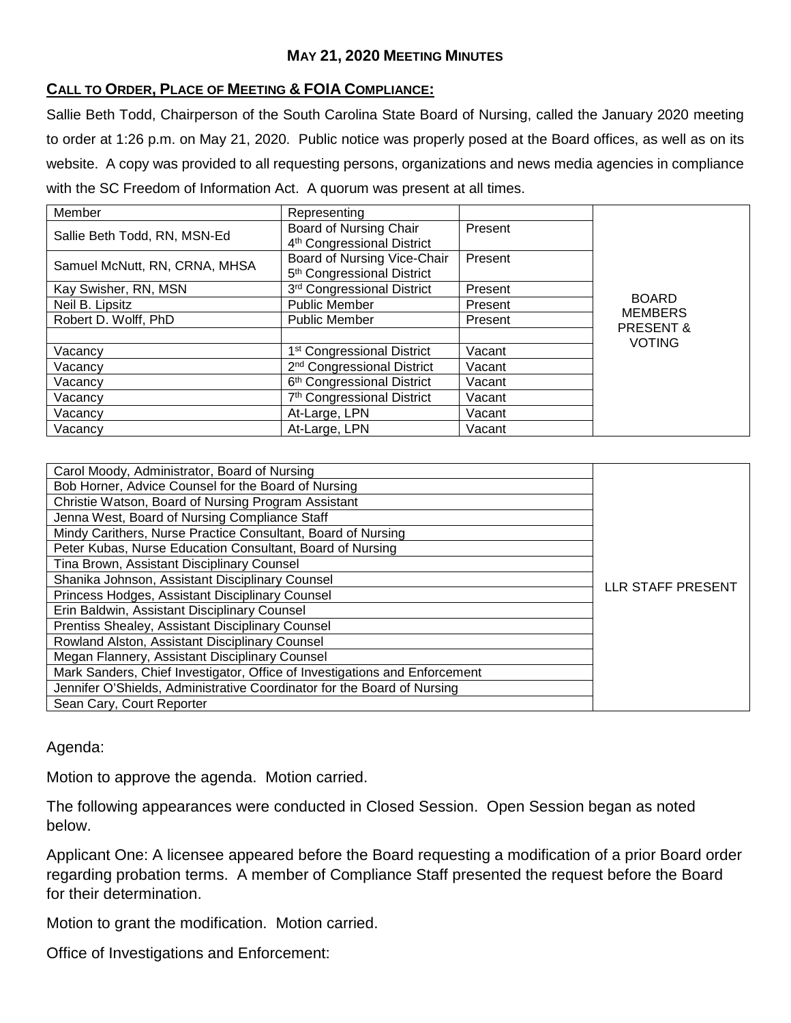## **MAY 21, 2020 MEETING MINUTES**

## **CALL TO ORDER, PLACE OF MEETING & FOIA COMPLIANCE:**

Sallie Beth Todd, Chairperson of the South Carolina State Board of Nursing, called the January 2020 meeting to order at 1:26 p.m. on May 21, 2020. Public notice was properly posed at the Board offices, as well as on its website. A copy was provided to all requesting persons, organizations and news media agencies in compliance with the SC Freedom of Information Act. A quorum was present at all times.

| Member                        | Representing                                                          |         |                                       |
|-------------------------------|-----------------------------------------------------------------------|---------|---------------------------------------|
| Sallie Beth Todd, RN, MSN-Ed  | Board of Nursing Chair<br>4 <sup>th</sup> Congressional District      | Present |                                       |
| Samuel McNutt, RN, CRNA, MHSA | Board of Nursing Vice-Chair<br>5 <sup>th</sup> Congressional District | Present |                                       |
| Kay Swisher, RN, MSN          | 3rd Congressional District                                            | Present |                                       |
| Neil B. Lipsitz               | <b>Public Member</b>                                                  | Present | <b>BOARD</b>                          |
| Robert D. Wolff, PhD          | <b>Public Member</b>                                                  | Present | <b>MEMBERS</b>                        |
|                               |                                                                       |         | <b>PRESENT &amp;</b><br><b>VOTING</b> |
| Vacancy                       | 1 <sup>st</sup> Congressional District                                | Vacant  |                                       |
| Vacancy                       | 2 <sup>nd</sup> Congressional District                                | Vacant  |                                       |
| Vacancy                       | 6 <sup>th</sup> Congressional District                                | Vacant  |                                       |
| Vacancy                       | 7 <sup>th</sup> Congressional District                                | Vacant  |                                       |
| Vacancy                       | At-Large, LPN                                                         | Vacant  |                                       |
| Vacancy                       | At-Large, LPN                                                         | Vacant  |                                       |

| Carol Moody, Administrator, Board of Nursing                               |                          |
|----------------------------------------------------------------------------|--------------------------|
| Bob Horner, Advice Counsel for the Board of Nursing                        |                          |
| Christie Watson, Board of Nursing Program Assistant                        |                          |
| Jenna West, Board of Nursing Compliance Staff                              |                          |
| Mindy Carithers, Nurse Practice Consultant, Board of Nursing               |                          |
| Peter Kubas, Nurse Education Consultant, Board of Nursing                  |                          |
| Tina Brown, Assistant Disciplinary Counsel                                 |                          |
| Shanika Johnson, Assistant Disciplinary Counsel                            | <b>LLR STAFF PRESENT</b> |
| Princess Hodges, Assistant Disciplinary Counsel                            |                          |
| Erin Baldwin, Assistant Disciplinary Counsel                               |                          |
| Prentiss Shealey, Assistant Disciplinary Counsel                           |                          |
| Rowland Alston, Assistant Disciplinary Counsel                             |                          |
| Megan Flannery, Assistant Disciplinary Counsel                             |                          |
| Mark Sanders, Chief Investigator, Office of Investigations and Enforcement |                          |
| Jennifer O'Shields, Administrative Coordinator for the Board of Nursing    |                          |
| Sean Cary, Court Reporter                                                  |                          |

Agenda:

Motion to approve the agenda. Motion carried.

The following appearances were conducted in Closed Session. Open Session began as noted below.

Applicant One: A licensee appeared before the Board requesting a modification of a prior Board order regarding probation terms. A member of Compliance Staff presented the request before the Board for their determination.

Motion to grant the modification. Motion carried.

Office of Investigations and Enforcement: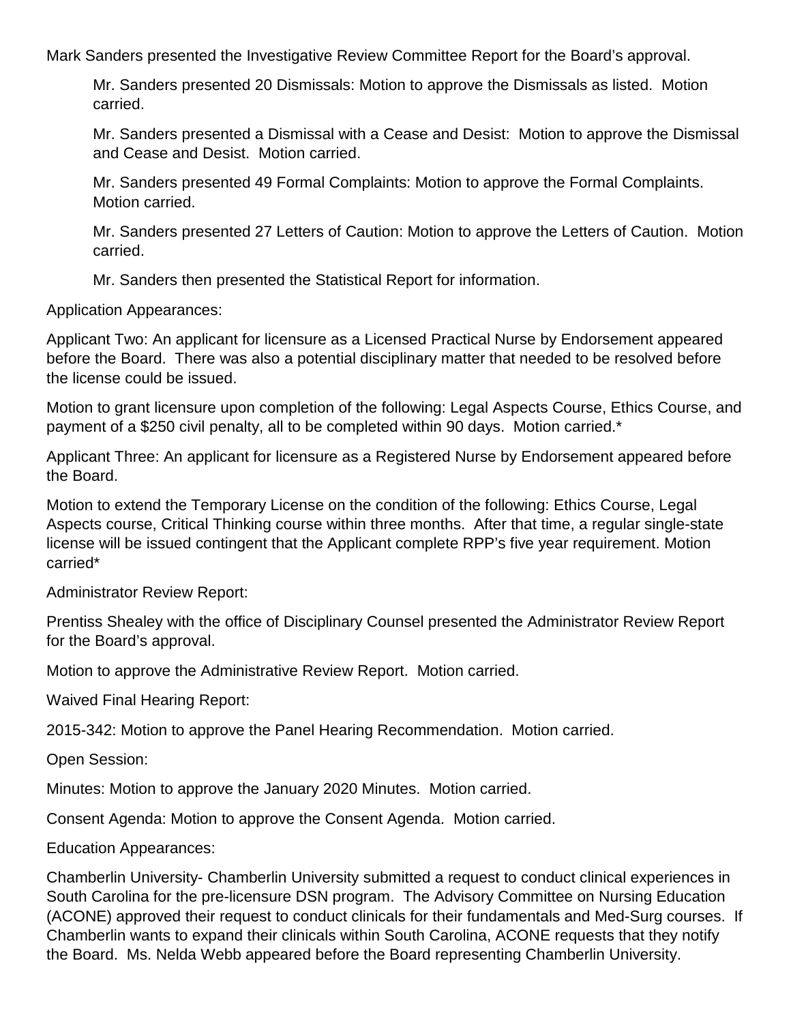Mark Sanders presented the Investigative Review Committee Report for the Board's approval.

Mr. Sanders presented 20 Dismissals: Motion to approve the Dismissals as listed. Motion carried.

Mr. Sanders presented a Dismissal with a Cease and Desist: Motion to approve the Dismissal and Cease and Desist. Motion carried.

Mr. Sanders presented 49 Formal Complaints: Motion to approve the Formal Complaints. Motion carried.

Mr. Sanders presented 27 Letters of Caution: Motion to approve the Letters of Caution. Motion carried.

Mr. Sanders then presented the Statistical Report for information.

Application Appearances:

Applicant Two: An applicant for licensure as a Licensed Practical Nurse by Endorsement appeared before the Board. There was also a potential disciplinary matter that needed to be resolved before the license could be issued.

Motion to grant licensure upon completion of the following: Legal Aspects Course, Ethics Course, and payment of a \$250 civil penalty, all to be completed within 90 days. Motion carried.\*

Applicant Three: An applicant for licensure as a Registered Nurse by Endorsement appeared before the Board.

Motion to extend the Temporary License on the condition of the following: Ethics Course, Legal Aspects course, Critical Thinking course within three months. After that time, a regular single-state license will be issued contingent that the Applicant complete RPP's five year requirement. Motion carried\*

Administrator Review Report:

Prentiss Shealey with the office of Disciplinary Counsel presented the Administrator Review Report for the Board's approval.

Motion to approve the Administrative Review Report. Motion carried.

Waived Final Hearing Report:

2015-342: Motion to approve the Panel Hearing Recommendation. Motion carried.

Open Session:

Minutes: Motion to approve the January 2020 Minutes. Motion carried.

Consent Agenda: Motion to approve the Consent Agenda. Motion carried.

Education Appearances:

Chamberlin University- Chamberlin University submitted a request to conduct clinical experiences in South Carolina for the pre-licensure DSN program. The Advisory Committee on Nursing Education (ACONE) approved their request to conduct clinicals for their fundamentals and Med-Surg courses. If Chamberlin wants to expand their clinicals within South Carolina, ACONE requests that they notify the Board. Ms. Nelda Webb appeared before the Board representing Chamberlin University.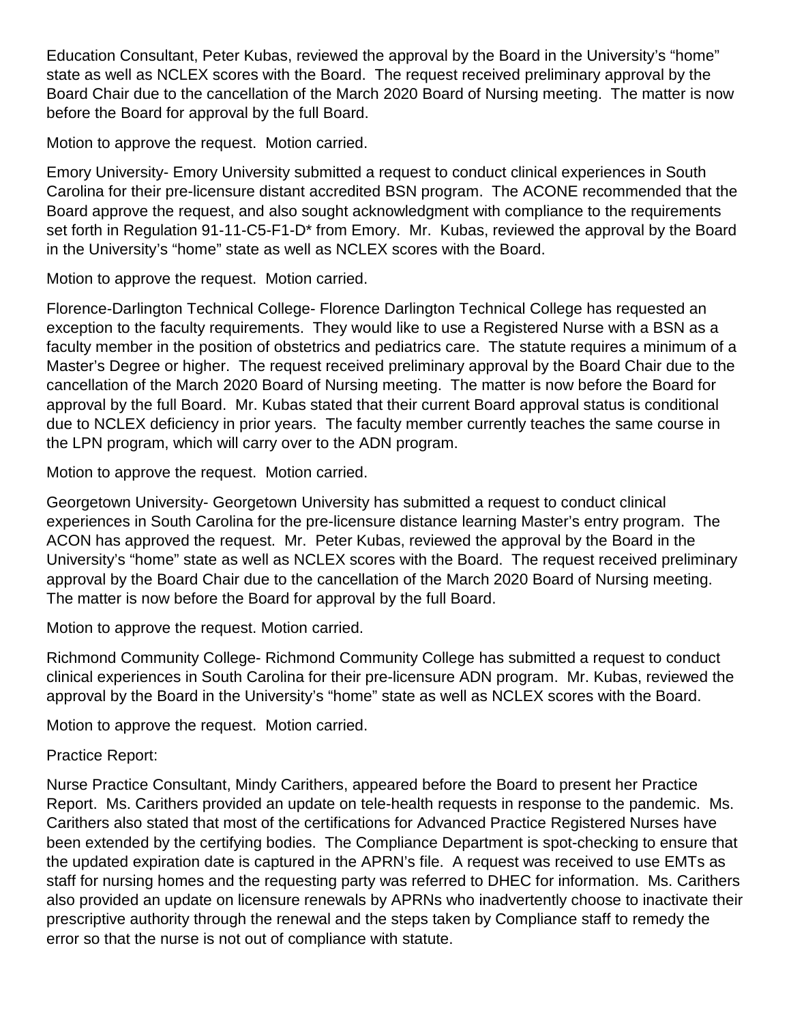Education Consultant, Peter Kubas, reviewed the approval by the Board in the University's "home" state as well as NCLEX scores with the Board. The request received preliminary approval by the Board Chair due to the cancellation of the March 2020 Board of Nursing meeting. The matter is now before the Board for approval by the full Board.

Motion to approve the request. Motion carried.

Emory University- Emory University submitted a request to conduct clinical experiences in South Carolina for their pre-licensure distant accredited BSN program. The ACONE recommended that the Board approve the request, and also sought acknowledgment with compliance to the requirements set forth in Regulation 91-11-C5-F1-D\* from Emory. Mr. Kubas, reviewed the approval by the Board in the University's "home" state as well as NCLEX scores with the Board.

Motion to approve the request. Motion carried.

Florence-Darlington Technical College- Florence Darlington Technical College has requested an exception to the faculty requirements. They would like to use a Registered Nurse with a BSN as a faculty member in the position of obstetrics and pediatrics care. The statute requires a minimum of a Master's Degree or higher. The request received preliminary approval by the Board Chair due to the cancellation of the March 2020 Board of Nursing meeting. The matter is now before the Board for approval by the full Board. Mr. Kubas stated that their current Board approval status is conditional due to NCLEX deficiency in prior years. The faculty member currently teaches the same course in the LPN program, which will carry over to the ADN program.

Motion to approve the request. Motion carried.

Georgetown University- Georgetown University has submitted a request to conduct clinical experiences in South Carolina for the pre-licensure distance learning Master's entry program. The ACON has approved the request. Mr. Peter Kubas, reviewed the approval by the Board in the University's "home" state as well as NCLEX scores with the Board. The request received preliminary approval by the Board Chair due to the cancellation of the March 2020 Board of Nursing meeting. The matter is now before the Board for approval by the full Board.

Motion to approve the request. Motion carried.

Richmond Community College- Richmond Community College has submitted a request to conduct clinical experiences in South Carolina for their pre-licensure ADN program. Mr. Kubas, reviewed the approval by the Board in the University's "home" state as well as NCLEX scores with the Board.

Motion to approve the request. Motion carried.

## Practice Report:

Nurse Practice Consultant, Mindy Carithers, appeared before the Board to present her Practice Report. Ms. Carithers provided an update on tele-health requests in response to the pandemic. Ms. Carithers also stated that most of the certifications for Advanced Practice Registered Nurses have been extended by the certifying bodies. The Compliance Department is spot-checking to ensure that the updated expiration date is captured in the APRN's file. A request was received to use EMTs as staff for nursing homes and the requesting party was referred to DHEC for information. Ms. Carithers also provided an update on licensure renewals by APRNs who inadvertently choose to inactivate their prescriptive authority through the renewal and the steps taken by Compliance staff to remedy the error so that the nurse is not out of compliance with statute.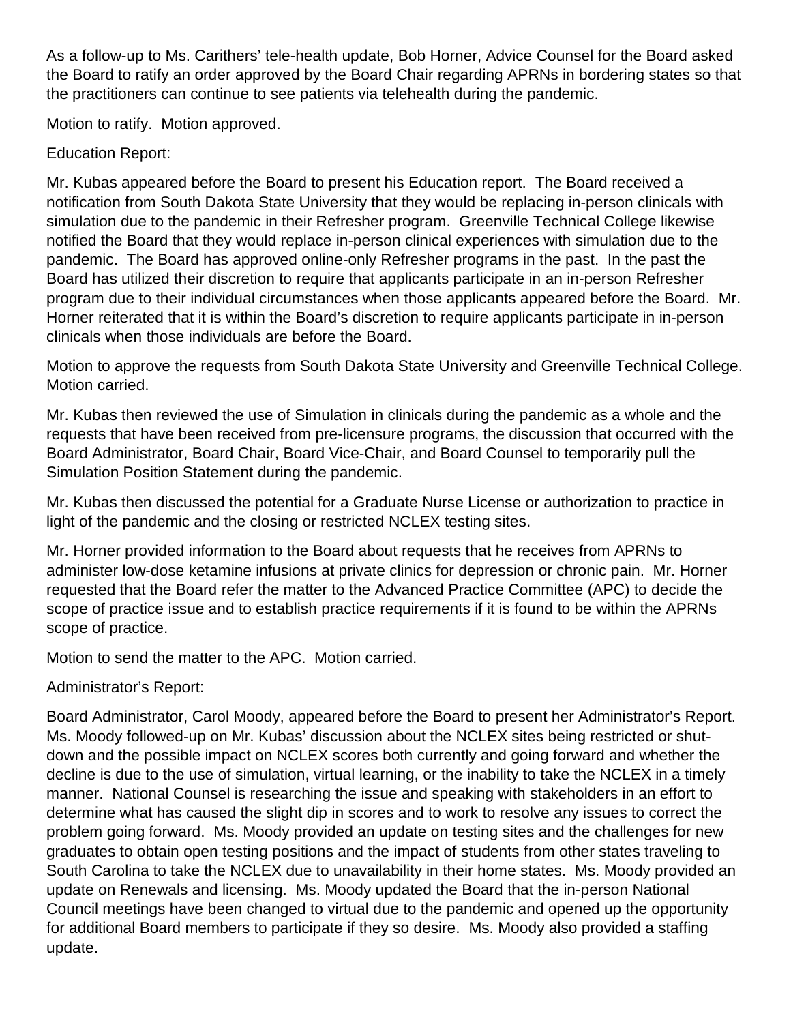As a follow-up to Ms. Carithers' tele-health update, Bob Horner, Advice Counsel for the Board asked the Board to ratify an order approved by the Board Chair regarding APRNs in bordering states so that the practitioners can continue to see patients via telehealth during the pandemic.

Motion to ratify. Motion approved.

## Education Report:

Mr. Kubas appeared before the Board to present his Education report. The Board received a notification from South Dakota State University that they would be replacing in-person clinicals with simulation due to the pandemic in their Refresher program. Greenville Technical College likewise notified the Board that they would replace in-person clinical experiences with simulation due to the pandemic. The Board has approved online-only Refresher programs in the past. In the past the Board has utilized their discretion to require that applicants participate in an in-person Refresher program due to their individual circumstances when those applicants appeared before the Board. Mr. Horner reiterated that it is within the Board's discretion to require applicants participate in in-person clinicals when those individuals are before the Board.

Motion to approve the requests from South Dakota State University and Greenville Technical College. Motion carried.

Mr. Kubas then reviewed the use of Simulation in clinicals during the pandemic as a whole and the requests that have been received from pre-licensure programs, the discussion that occurred with the Board Administrator, Board Chair, Board Vice-Chair, and Board Counsel to temporarily pull the Simulation Position Statement during the pandemic.

Mr. Kubas then discussed the potential for a Graduate Nurse License or authorization to practice in light of the pandemic and the closing or restricted NCLEX testing sites.

Mr. Horner provided information to the Board about requests that he receives from APRNs to administer low-dose ketamine infusions at private clinics for depression or chronic pain. Mr. Horner requested that the Board refer the matter to the Advanced Practice Committee (APC) to decide the scope of practice issue and to establish practice requirements if it is found to be within the APRNs scope of practice.

Motion to send the matter to the APC. Motion carried.

Administrator's Report:

Board Administrator, Carol Moody, appeared before the Board to present her Administrator's Report. Ms. Moody followed-up on Mr. Kubas' discussion about the NCLEX sites being restricted or shutdown and the possible impact on NCLEX scores both currently and going forward and whether the decline is due to the use of simulation, virtual learning, or the inability to take the NCLEX in a timely manner. National Counsel is researching the issue and speaking with stakeholders in an effort to determine what has caused the slight dip in scores and to work to resolve any issues to correct the problem going forward. Ms. Moody provided an update on testing sites and the challenges for new graduates to obtain open testing positions and the impact of students from other states traveling to South Carolina to take the NCLEX due to unavailability in their home states. Ms. Moody provided an update on Renewals and licensing. Ms. Moody updated the Board that the in-person National Council meetings have been changed to virtual due to the pandemic and opened up the opportunity for additional Board members to participate if they so desire. Ms. Moody also provided a staffing update.